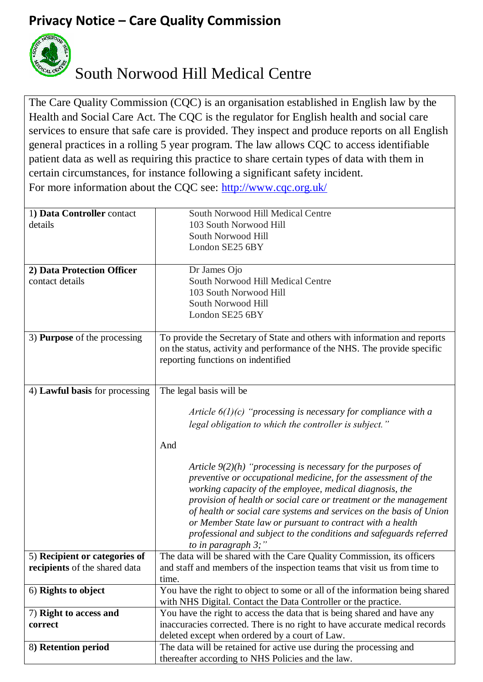## **Privacy Notice – Care Quality Commission**



## South Norwood Hill Medical Centre

The Care Quality Commission (CQC) is an organisation established in English law by the Health and Social Care Act. The CQC is the regulator for English health and social care services to ensure that safe care is provided. They inspect and produce reports on all English general practices in a rolling 5 year program. The law allows CQC to access identifiable patient data as well as requiring this practice to share certain types of data with them in certain circumstances, for instance following a significant safety incident. For more information about the CQC see:<http://www.cqc.org.uk/>

| 1) Data Controller contact          | South Norwood Hill Medical Centre                                           |
|-------------------------------------|-----------------------------------------------------------------------------|
| details                             | 103 South Norwood Hill                                                      |
|                                     | South Norwood Hill                                                          |
|                                     | London SE25 6BY                                                             |
|                                     |                                                                             |
| 2) Data Protection Officer          | Dr James Ojo                                                                |
| contact details                     | South Norwood Hill Medical Centre                                           |
|                                     | 103 South Norwood Hill                                                      |
|                                     | South Norwood Hill                                                          |
|                                     | London SE25 6BY                                                             |
|                                     |                                                                             |
| 3) <b>Purpose</b> of the processing | To provide the Secretary of State and others with information and reports   |
|                                     | on the status, activity and performance of the NHS. The provide specific    |
|                                     | reporting functions on indentified                                          |
|                                     |                                                                             |
|                                     |                                                                             |
| 4) Lawful basis for processing      | The legal basis will be                                                     |
|                                     |                                                                             |
|                                     | Article $6(1)(c)$ "processing is necessary for compliance with a            |
|                                     | legal obligation to which the controller is subject."                       |
|                                     | And                                                                         |
|                                     |                                                                             |
|                                     | Article $9(2)(h)$ "processing is necessary for the purposes of              |
|                                     | preventive or occupational medicine, for the assessment of the              |
|                                     | working capacity of the employee, medical diagnosis, the                    |
|                                     | provision of health or social care or treatment or the management           |
|                                     | of health or social care systems and services on the basis of Union         |
|                                     | or Member State law or pursuant to contract with a health                   |
|                                     | professional and subject to the conditions and safeguards referred          |
|                                     | to in paragraph $3$ ;"                                                      |
| 5) Recipient or categories of       | The data will be shared with the Care Quality Commission, its officers      |
| recipients of the shared data       | and staff and members of the inspection teams that visit us from time to    |
|                                     | time.                                                                       |
| 6) Rights to object                 | You have the right to object to some or all of the information being shared |
|                                     | with NHS Digital. Contact the Data Controller or the practice.              |
| 7) Right to access and              | You have the right to access the data that is being shared and have any     |
| correct                             | inaccuracies corrected. There is no right to have accurate medical records  |
|                                     | deleted except when ordered by a court of Law.                              |
| 8) Retention period                 | The data will be retained for active use during the processing and          |
|                                     | thereafter according to NHS Policies and the law.                           |